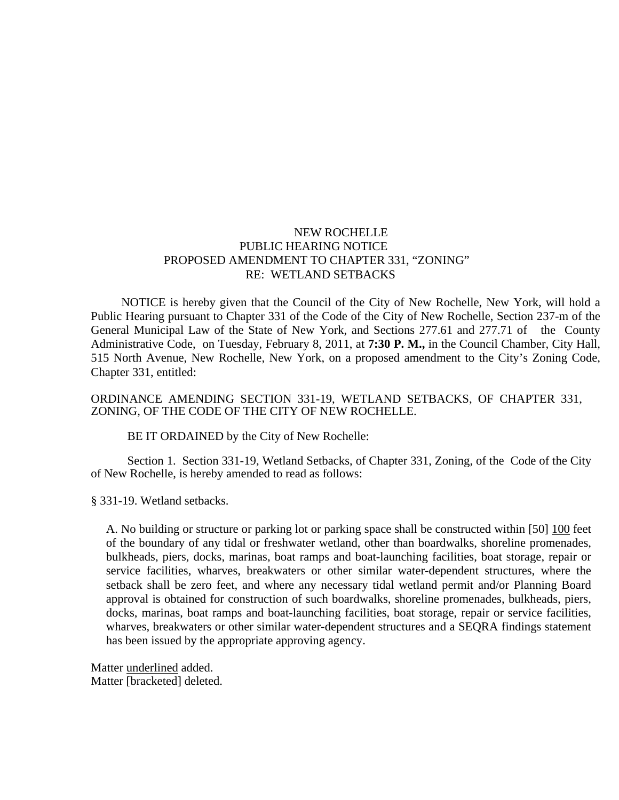## NEW ROCHELLE PUBLIC HEARING NOTICE PROPOSED AMENDMENT TO CHAPTER 331, "ZONING" RE: WETLAND SETBACKS

 NOTICE is hereby given that the Council of the City of New Rochelle, New York, will hold a Public Hearing pursuant to Chapter 331 of the Code of the City of New Rochelle, Section 237-m of the General Municipal Law of the State of New York, and Sections 277.61 and 277.71 of the County Administrative Code, on Tuesday, February 8, 2011, at **7:30 P. M.,** in the Council Chamber, City Hall, 515 North Avenue, New Rochelle, New York, on a proposed amendment to the City's Zoning Code, Chapter 331, entitled:

## ORDINANCE AMENDING SECTION 331-19, WETLAND SETBACKS, OF CHAPTER 331, ZONING*,* OF THE CODE OF THE CITY OF NEW ROCHELLE.

BE IT ORDAINED by the City of New Rochelle:

Section 1. Section 331-19, Wetland Setbacks, of Chapter 331, Zoning, of the Code of the City of New Rochelle, is hereby amended to read as follows:

§ 331-19. Wetland setbacks.

A. No building or structure or parking lot or parking space shall be constructed within [50] 100 feet of the boundary of any tidal or freshwater wetland, other than boardwalks, shoreline promenades, bulkheads, piers, docks, marinas, boat ramps and boat-launching facilities, boat storage, repair or service facilities, wharves, breakwaters or other similar water-dependent structures, where the setback shall be zero feet, and where any necessary tidal wetland permit and/or Planning Board approval is obtained for construction of such boardwalks, shoreline promenades, bulkheads, piers, docks, marinas, boat ramps and boat-launching facilities, boat storage, repair or service facilities, wharves, breakwaters or other similar water-dependent structures and a SEQRA findings statement has been issued by the appropriate approving agency.

Matter underlined added. Matter [bracketed] deleted.